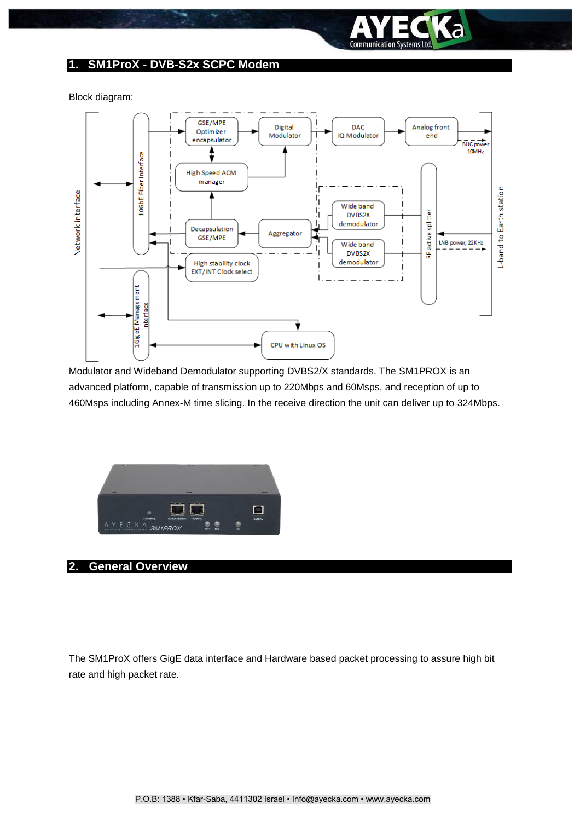

### **1. SM1ProX - DVB-S2x SCPC Modem**

Block diagram:



Modulator and Wideband Demodulator supporting DVBS2/X standards. The SM1PROX is an advanced platform, capable of transmission up to 220Mbps and 60Msps, and reception of up to 460Msps including Annex-M time slicing. In the receive direction the unit can deliver up to 324Mbps.



### **2. General Overview**

The SM1ProX offers GigE data interface and Hardware based packet processing to assure high bit rate and high packet rate.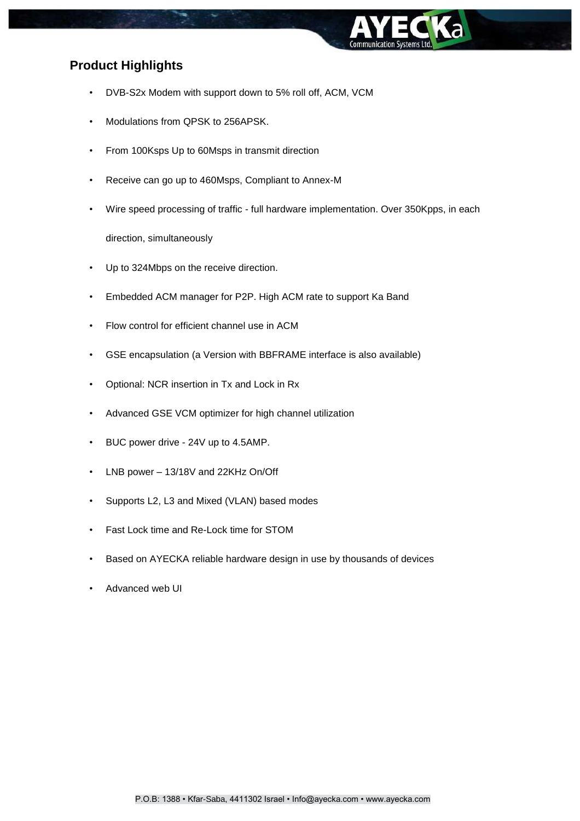

# **Product Highlights**

- DVB-S2x Modem with support down to 5% roll off, ACM, VCM
- Modulations from QPSK to 256APSK.
- From 100Ksps Up to 60Msps in transmit direction
- Receive can go up to 460Msps, Compliant to Annex-M
- Wire speed processing of traffic full hardware implementation. Over 350Kpps, in each

direction, simultaneously

- Up to 324Mbps on the receive direction.
- Embedded ACM manager for P2P. High ACM rate to support Ka Band
- Flow control for efficient channel use in ACM
- GSE encapsulation (a Version with BBFRAME interface is also available)
- Optional: NCR insertion in Tx and Lock in Rx
- Advanced GSE VCM optimizer for high channel utilization
- BUC power drive 24V up to 4.5AMP.
- LNB power 13/18V and 22KHz On/Off
- Supports L2, L3 and Mixed (VLAN) based modes
- Fast Lock time and Re-Lock time for STOM
- Based on AYECKA reliable hardware design in use by thousands of devices
- Advanced web UI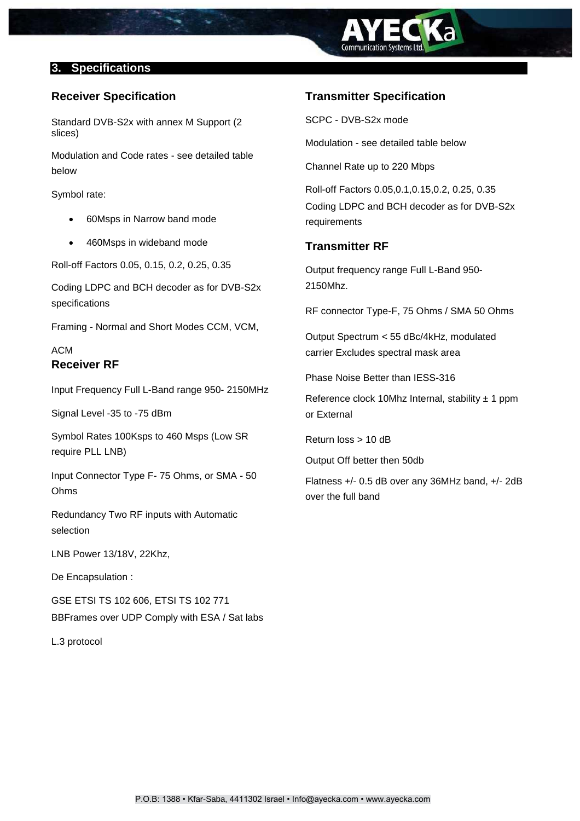

### **3. Specifications**

## **Receiver Specification**

Standard DVB-S2x with annex M Support (2 slices)

Modulation and Code rates - see detailed table below

Symbol rate:

- 60Msps in Narrow band mode
- 460Msps in wideband mode

Roll-off Factors 0.05, 0.15, 0.2, 0.25, 0.35

Coding LDPC and BCH decoder as for DVB-S2x specifications

Framing - Normal and Short Modes CCM, VCM,

# ACM **Receiver RF**

Input Frequency Full L-Band range 950- 2150MHz

Signal Level -35 to -75 dBm

Symbol Rates 100Ksps to 460 Msps (Low SR require PLL LNB)

Input Connector Type F- 75 Ohms, or SMA - 50 Ohms

Redundancy Two RF inputs with Automatic selection

LNB Power 13/18V, 22Khz,

De Encapsulation :

GSE ETSI TS 102 606, ETSI TS 102 771 BBFrames over UDP Comply with ESA / Sat labs

L.3 protocol

# **Transmitter Specification**

SCPC - DVB-S2x mode

Modulation - see detailed table below

Channel Rate up to 220 Mbps

Roll-off Factors 0.05,0.1,0.15,0.2, 0.25, 0.35 Coding LDPC and BCH decoder as for DVB-S2x requirements

## **Transmitter RF**

Output frequency range Full L-Band 950- 2150Mhz.

RF connector Type-F, 75 Ohms / SMA 50 Ohms

Output Spectrum < 55 dBc/4kHz, modulated carrier Excludes spectral mask area

Phase Noise Better than IESS-316

Reference clock 10Mhz Internal, stability  $\pm$  1 ppm or External

Return loss > 10 dB

Output Off better then 50db

Flatness +/- 0.5 dB over any 36MHz band, +/- 2dB over the full band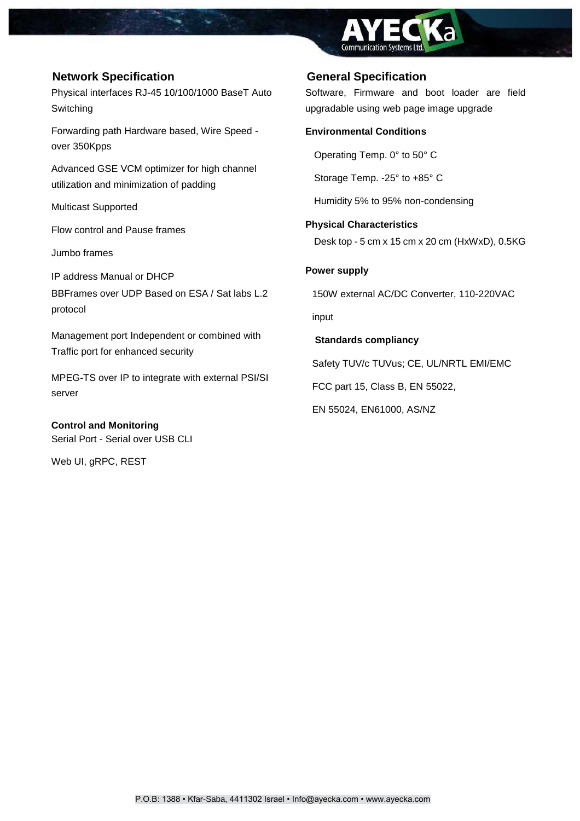

# **Network Specification General Specification**

Physical interfaces RJ-45 10/100/1000 BaseT Auto Switching

Forwarding path Hardware based, Wire Speed over 350Kpps

Advanced GSE VCM optimizer for high channel utilization and minimization of padding

Multicast Supported

Flow control and Pause frames

Jumbo frames

IP address Manual or DHCP BBFrames over UDP Based on ESA / Sat labs L.2 protocol

Management port Independent or combined with Traffic port for enhanced security

MPEG-TS over IP to integrate with external PSI/SI server

**Control and Monitoring** Serial Port - Serial over USB CLI

Web UI, gRPC, REST

Software, Firmware and boot loader are field upgradable using web page image upgrade

### **Environmental Conditions**

Operating Temp. 0° to 50° C

Storage Temp. -25° to +85° C

Humidity 5% to 95% non-condensing

### **Physical Characteristics**

Desk top - 5 cm x 15 cm x 20 cm (HxWxD), 0.5KG

### **Power supply**

150W external AC/DC Converter, 110-220VAC

input

**Standards compliancy** 

Safety TUV/c TUVus; CE, UL/NRTL EMI/EMC

FCC part 15, Class B, EN 55022,

EN 55024, EN61000, AS/NZ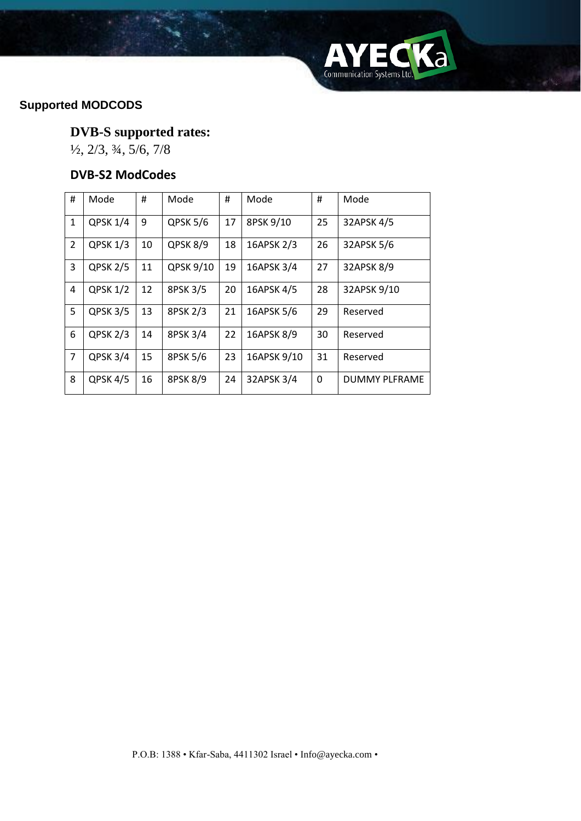

# **Supported MODCODS**

# **DVB-S supported rates:**

½, 2/3, ¾, 5/6, 7/8

# **DVB-S2 ModCodes**

| #              | Mode            | #  | Mode      | #  | Mode        | #  | Mode                 |  |
|----------------|-----------------|----|-----------|----|-------------|----|----------------------|--|
| 1              | QPSK 1/4        | 9  | QPSK 5/6  | 17 | 8PSK 9/10   | 25 | 32APSK 4/5           |  |
| 2              | <b>QPSK 1/3</b> | 10 | QPSK 8/9  | 18 | 16APSK 2/3  | 26 | 32APSK 5/6           |  |
| 3              | <b>QPSK 2/5</b> | 11 | QPSK 9/10 | 19 | 16APSK 3/4  | 27 | 32APSK 8/9           |  |
| 4              | <b>QPSK 1/2</b> | 12 | 8PSK 3/5  | 20 | 16APSK 4/5  | 28 | 32APSK 9/10          |  |
| 5              | QPSK 3/5        | 13 | 8PSK 2/3  | 21 | 16APSK 5/6  | 29 | Reserved             |  |
| 6              | QPSK 2/3        | 14 | 8PSK 3/4  | 22 | 16APSK 8/9  | 30 | Reserved             |  |
| $\overline{7}$ | QPSK 3/4        | 15 | 8PSK 5/6  | 23 | 16APSK 9/10 | 31 | Reserved             |  |
| 8              | QPSK 4/5        | 16 | 8PSK 8/9  | 24 | 32APSK 3/4  | 0  | <b>DUMMY PLFRAME</b> |  |